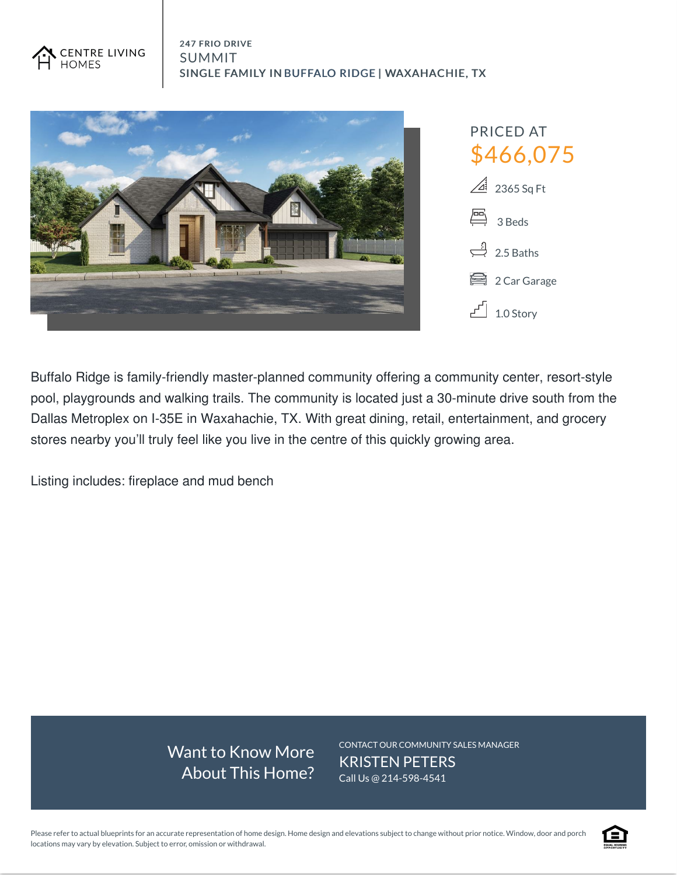



Buffalo Ridge is family-friendly master-planned community offering a community center, resort-style pool, playgrounds and walking trails. The community is located just a 30-minute drive south from the Dallas Metroplex on I-35E in Waxahachie, TX. With great dining, retail, entertainment, and grocery stores nearby you'll truly feel like you live in the centre of this quickly growing area.

Listing includes: fireplace and mud bench

Want to Know More About This Home? CONTACT OUR COMMUNITY SALES MANAGER KRISTEN PETERS Call Us @ 214-598-4541